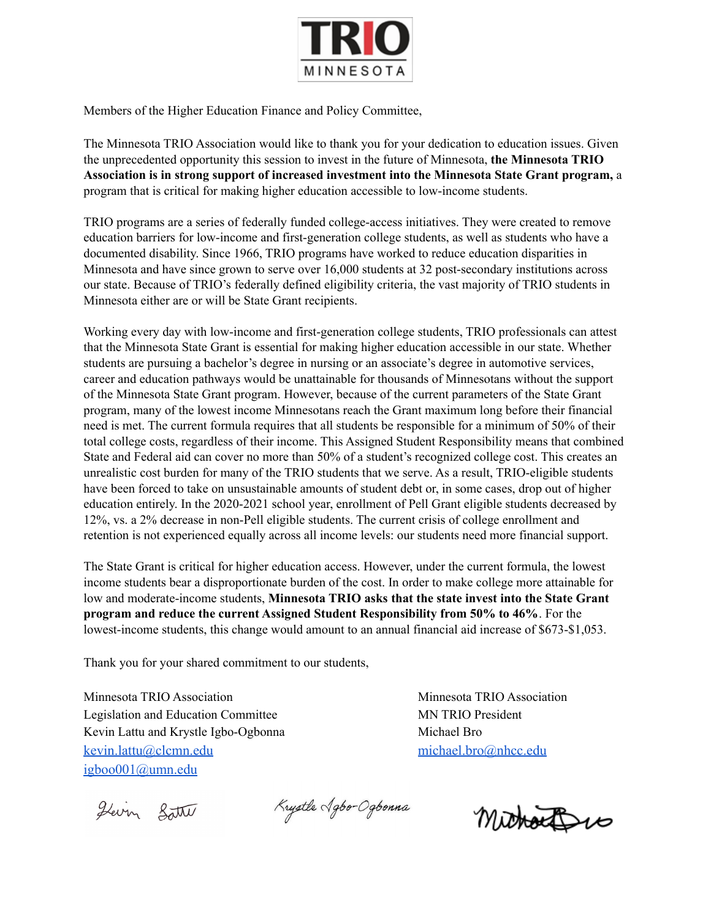

Members of the Higher Education Finance and Policy Committee,

The Minnesota TRIO Association would like to thank you for your dedication to education issues. Given the unprecedented opportunity this session to invest in the future of Minnesota, **the Minnesota TRIO Association is in strong support of increased investment into the Minnesota State Grant program,** a program that is critical for making higher education accessible to low-income students.

TRIO programs are a series of federally funded college-access initiatives. They were created to remove education barriers for low-income and first-generation college students, as well as students who have a documented disability. Since 1966, TRIO programs have worked to reduce education disparities in Minnesota and have since grown to serve over 16,000 students at 32 post-secondary institutions across our state. Because of TRIO's federally defined eligibility criteria, the vast majority of TRIO students in Minnesota either are or will be State Grant recipients.

Working every day with low-income and first-generation college students, TRIO professionals can attest that the Minnesota State Grant is essential for making higher education accessible in our state. Whether students are pursuing a bachelor's degree in nursing or an associate's degree in automotive services, career and education pathways would be unattainable for thousands of Minnesotans without the support of the Minnesota State Grant program. However, because of the current parameters of the State Grant program, many of the lowest income Minnesotans reach the Grant maximum long before their financial need is met. The current formula requires that all students be responsible for a minimum of 50% of their total college costs, regardless of their income. This Assigned Student Responsibility means that combined State and Federal aid can cover no more than 50% of a student's recognized college cost. This creates an unrealistic cost burden for many of the TRIO students that we serve. As a result, TRIO-eligible students have been forced to take on unsustainable amounts of student debt or, in some cases, drop out of higher education entirely. In the 2020-2021 school year, enrollment of Pell Grant eligible students decreased by 12%, vs. a 2% decrease in non-Pell eligible students. The current crisis of college enrollment and retention is not experienced equally across all income levels: our students need more financial support.

The State Grant is critical for higher education access. However, under the current formula, the lowest income students bear a disproportionate burden of the cost. In order to make college more attainable for low and moderate-income students, **Minnesota TRIO asks that the state invest into the State Grant program and reduce the current Assigned Student Responsibility from 50% to 46%**. For the lowest-income students, this change would amount to an annual financial aid increase of \$673-\$1,053.

Thank you for your shared commitment to our students,

Minnesota TRIO Association and Minnesota TRIO Association Legislation and Education Committee MN TRIO President Kevin Lattu and Krystle Igbo-Ogbonna Michael Bro [kevin.lattu@clcmn.edu](mailto:kevin.lattu@clcmn.edu) [michael.bro@nhcc.edu](mailto:michael.bro@minneapolis.edu) [igboo001@umn.edu](mailto:igboo001@umn.edu)

Hevry Batte

Krystle Agbo-Ogbonna

Michaelpro